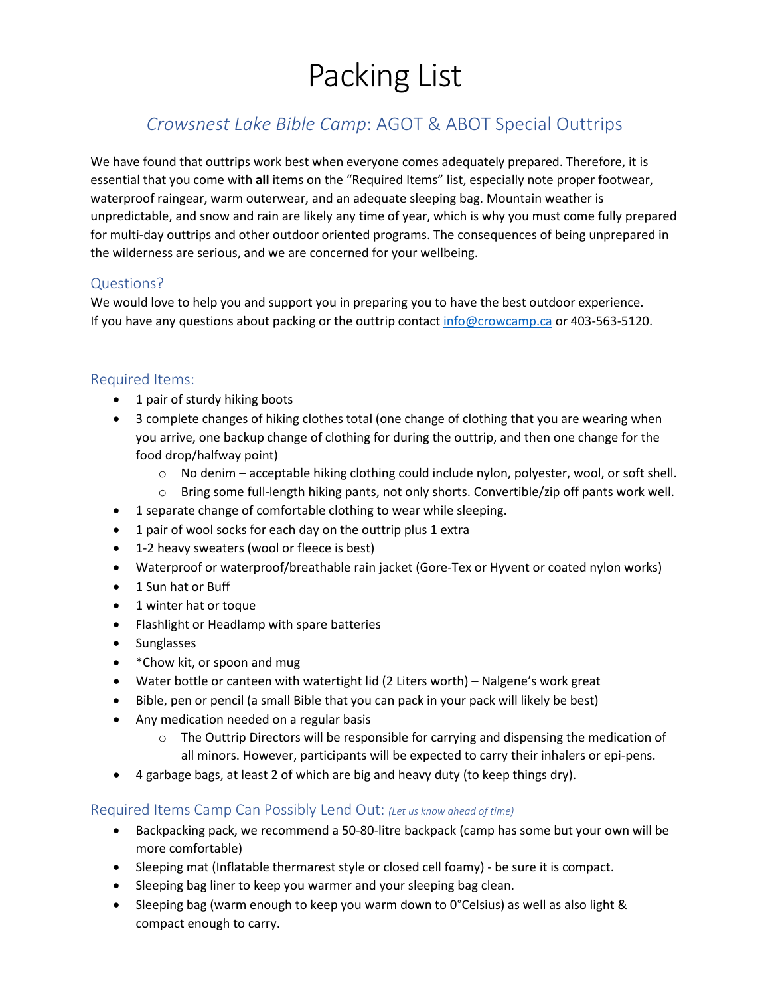# Packing List

# *Crowsnest Lake Bible Camp*: AGOT & ABOT Special Outtrips

We have found that outtrips work best when everyone comes adequately prepared. Therefore, it is essential that you come with **all** items on the "Required Items" list, especially note proper footwear, waterproof raingear, warm outerwear, and an adequate sleeping bag. Mountain weather is unpredictable, and snow and rain are likely any time of year, which is why you must come fully prepared for multi-day outtrips and other outdoor oriented programs. The consequences of being unprepared in the wilderness are serious, and we are concerned for your wellbeing.

## Questions?

We would love to help you and support you in preparing you to have the best outdoor experience. If you have any questions about packing or the outtrip contac[t info@crowcamp.ca](mailto:info@crowcamp.ca) or 403-563-5120.

#### Required Items:

- 1 pair of sturdy hiking boots
- 3 complete changes of hiking clothes total (one change of clothing that you are wearing when you arrive, one backup change of clothing for during the outtrip, and then one change for the food drop/halfway point)
	- $\circ$  No denim acceptable hiking clothing could include nylon, polyester, wool, or soft shell.
	- $\circ$  Bring some full-length hiking pants, not only shorts. Convertible/zip off pants work well.
- 1 separate change of comfortable clothing to wear while sleeping.
- 1 pair of wool socks for each day on the outtrip plus 1 extra
- 1-2 heavy sweaters (wool or fleece is best)
- Waterproof or waterproof/breathable rain jacket (Gore-Tex or Hyvent or coated nylon works)
- 1 Sun hat or Buff
- 1 winter hat or toque
- Flashlight or Headlamp with spare batteries
- Sunglasses
- \* Chow kit, or spoon and mug
- Water bottle or canteen with watertight lid (2 Liters worth) Nalgene's work great
- Bible, pen or pencil (a small Bible that you can pack in your pack will likely be best)
- Any medication needed on a regular basis
	- $\circ$  The Outtrip Directors will be responsible for carrying and dispensing the medication of all minors. However, participants will be expected to carry their inhalers or epi-pens.
- 4 garbage bags, at least 2 of which are big and heavy duty (to keep things dry).

#### Required Items Camp Can Possibly Lend Out: *(Let us know ahead of time)*

- Backpacking pack, we recommend a 50-80-litre backpack (camp has some but your own will be more comfortable)
- Sleeping mat (Inflatable thermarest style or closed cell foamy) be sure it is compact.
- Sleeping bag liner to keep you warmer and your sleeping bag clean.
- Sleeping bag (warm enough to keep you warm down to 0°Celsius) as well as also light & compact enough to carry.